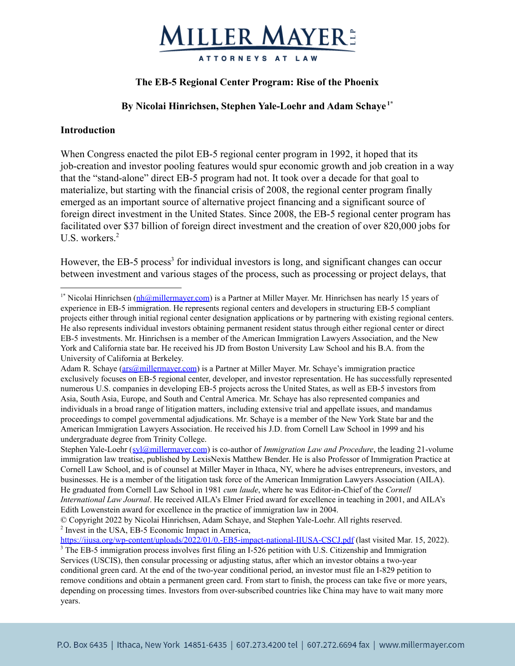

## **The EB-5 Regional Center Program: Rise of the Phoenix**

## **By Nicolai Hinrichsen, Stephen Yale-Loehr and Adam Schaye 1\***

#### **Introduction**

When Congress enacted the pilot EB-5 regional center program in 1992, it hoped that its job-creation and investor pooling features would spur economic growth and job creation in a way that the "stand-alone" direct EB-5 program had not. It took over a decade for that goal to materialize, but starting with the financial crisis of 2008, the regional center program finally emerged as an important source of alternative project financing and a significant source of foreign direct investment in the United States. Since 2008, the EB-5 regional center program has facilitated over \$37 billion of foreign direct investment and the creation of over 820,000 jobs for U.S. workers. $2$ 

However, the EB-5 process<sup>3</sup> for individual investors is long, and significant changes can occur between investment and various stages of the process, such as processing or project delays, that

<sup>&</sup>lt;sup>1\*</sup> Nicolai Hinrichsen [\(nh@millermayer.com](mailto:nh@millermayer.com)) is a Partner at Miller Mayer. Mr. Hinrichsen has nearly 15 years of experience in EB-5 immigration. He represents regional centers and developers in structuring EB-5 compliant projects either through initial regional center designation applications or by partnering with existing regional centers. He also represents individual investors obtaining permanent resident status through either regional center or direct EB-5 investments. Mr. Hinrichsen is a member of the American Immigration Lawyers Association, and the New York and California state bar. He received his JD from Boston University Law School and his B.A. from the University of California at Berkeley.

Adam R. Schaye [\(ars@millermayer.com](mailto:ars@millermayer.com)) is a Partner at Miller Mayer. Mr. Schaye's immigration practice exclusively focuses on EB-5 regional center, developer, and investor representation. He has successfully represented numerous U.S. companies in developing EB-5 projects across the United States, as well as EB-5 investors from Asia, South Asia, Europe, and South and Central America. Mr. Schaye has also represented companies and individuals in a broad range of litigation matters, including extensive trial and appellate issues, and mandamus proceedings to compel governmental adjudications. Mr. Schaye is a member of the New York State bar and the American Immigration Lawyers Association. He received his J.D. from Cornell Law School in 1999 and his undergraduate degree from Trinity College.

Stephen Yale-Loehr ([syl@millermayer.com](mailto:syl@millermayer.com)) is co-author of *Immigration Law and Procedure*, the leading 21-volume immigration law treatise, published by LexisNexis Matthew Bender. He is also Professor of Immigration Practice at Cornell Law School, and is of counsel at Miller Mayer in Ithaca, NY, where he advises entrepreneurs, investors, and businesses. He is a member of the litigation task force of the American Immigration Lawyers Association (AILA). He graduated from Cornell Law School in 1981 *cum laude*, where he was Editor-in-Chief of the *Cornell International Law Journal*. He received AILA's Elmer Fried award for excellence in teaching in 2001, and AILA's Edith Lowenstein award for excellence in the practice of immigration law in 2004.

<sup>&</sup>lt;sup>2</sup> Invest in the USA, EB-5 Economic Impact in America, © Copyright 2022 by Nicolai Hinrichsen, Adam Schaye, and Stephen Yale-Loehr. All rights reserved.

<sup>&</sup>lt;sup>3</sup> The EB-5 immigration process involves first filing an I-526 petition with U.S. Citizenship and Immigration Services (USCIS), then consular processing or adjusting status, after which an investor obtains a two-year conditional green card. At the end of the two-year conditional period, an investor must file an I-829 petition to remove conditions and obtain a permanent green card. From start to finish, the process can take five or more years, depending on processing times. Investors from over-subscribed countries like China may have to wait many more years. <https://iiusa.org/wp-content/uploads/2022/01/0.-EB5-impact-national-IIUSA-CSCJ.pdf> (last visited Mar. 15, 2022).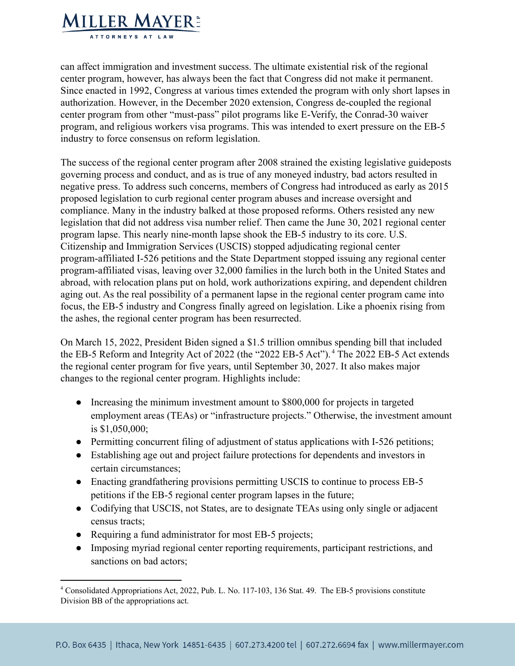

can affect immigration and investment success. The ultimate existential risk of the regional center program, however, has always been the fact that Congress did not make it permanent. Since enacted in 1992, Congress at various times extended the program with only short lapses in authorization. However, in the December 2020 extension, Congress de-coupled the regional center program from other "must-pass" pilot programs like E-Verify, the Conrad-30 waiver program, and religious workers visa programs. This was intended to exert pressure on the EB-5 industry to force consensus on reform legislation.

The success of the regional center program after 2008 strained the existing legislative guideposts governing process and conduct, and as is true of any moneyed industry, bad actors resulted in negative press. To address such concerns, members of Congress had introduced as early as 2015 proposed legislation to curb regional center program abuses and increase oversight and compliance. Many in the industry balked at those proposed reforms. Others resisted any new legislation that did not address visa number relief. Then came the June 30, 2021 regional center program lapse. This nearly nine-month lapse shook the EB-5 industry to its core. U.S. Citizenship and Immigration Services (USCIS) stopped adjudicating regional center program-affiliated I-526 petitions and the State Department stopped issuing any regional center program-affiliated visas, leaving over 32,000 families in the lurch both in the United States and abroad, with relocation plans put on hold, work authorizations expiring, and dependent children aging out. As the real possibility of a permanent lapse in the regional center program came into focus, the EB-5 industry and Congress finally agreed on legislation. Like a phoenix rising from the ashes, the regional center program has been resurrected.

On March 15, 2022, President Biden signed a \$1.5 trillion omnibus spending bill that included the EB-5 Reform and Integrity Act of 2022 (the "2022 EB-5 Act"). <sup>4</sup> The 2022 EB-5 Act extends the regional center program for five years, until September 30, 2027. It also makes major changes to the regional center program. Highlights include:

- Increasing the minimum investment amount to \$800,000 for projects in targeted employment areas (TEAs) or "infrastructure projects." Otherwise, the investment amount is \$1,050,000;
- Permitting concurrent filing of adjustment of status applications with I-526 petitions;
- Establishing age out and project failure protections for dependents and investors in certain circumstances;
- Enacting grandfathering provisions permitting USCIS to continue to process EB-5 petitions if the EB-5 regional center program lapses in the future;
- Codifying that USCIS, not States, are to designate TEAs using only single or adjacent census tracts;
- Requiring a fund administrator for most EB-5 projects;
- Imposing myriad regional center reporting requirements, participant restrictions, and sanctions on bad actors;

<sup>4</sup> Consolidated Appropriations Act, 2022, Pub. L. No. 117-103, 136 Stat. 49. The EB-5 provisions constitute Division BB of the appropriations act.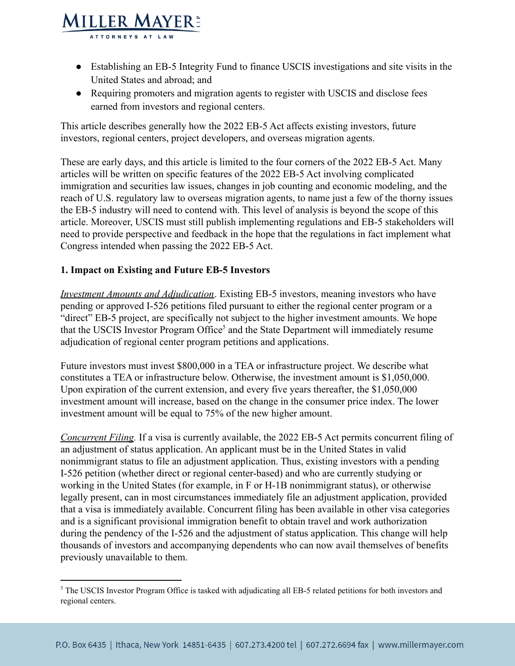

● Requiring promoters and migration agents to register with USCIS and disclose fees earned from investors and regional centers.

This article describes generally how the 2022 EB-5 Act affects existing investors, future investors, regional centers, project developers, and overseas migration agents.

These are early days, and this article is limited to the four corners of the 2022 EB-5 Act. Many articles will be written on specific features of the 2022 EB-5 Act involving complicated immigration and securities law issues, changes in job counting and economic modeling, and the reach of U.S. regulatory law to overseas migration agents, to name just a few of the thorny issues the EB-5 industry will need to contend with. This level of analysis is beyond the scope of this article. Moreover, USCIS must still publish implementing regulations and EB-5 stakeholders will need to provide perspective and feedback in the hope that the regulations in fact implement what Congress intended when passing the 2022 EB-5 Act.

## **1. Impact on Existing and Future EB-5 Investors**

**MILLER MAYER:** ATTORNEYS AT LA'

*Investment Amounts and Adjudication*. Existing EB-5 investors, meaning investors who have pending or approved I-526 petitions filed pursuant to either the regional center program or a "direct" EB-5 project, are specifically not subject to the higher investment amounts. We hope that the USCIS Investor Program Office<sup>5</sup> and the State Department will immediately resume adjudication of regional center program petitions and applications.

Future investors must invest \$800,000 in a TEA or infrastructure project. We describe what constitutes a TEA or infrastructure below. Otherwise, the investment amount is \$1,050,000. Upon expiration of the current extension, and every five years thereafter, the \$1,050,000 investment amount will increase, based on the change in the consumer price index. The lower investment amount will be equal to 75% of the new higher amount.

*Concurrent Filing.* If a visa is currently available, the 2022 EB-5 Act permits concurrent filing of an adjustment of status application. An applicant must be in the United States in valid nonimmigrant status to file an adjustment application. Thus, existing investors with a pending I-526 petition (whether direct or regional center-based) and who are currently studying or working in the United States (for example, in F or H-1B nonimmigrant status), or otherwise legally present, can in most circumstances immediately file an adjustment application, provided that a visa is immediately available. Concurrent filing has been available in other visa categories and is a significant provisional immigration benefit to obtain travel and work authorization during the pendency of the I-526 and the adjustment of status application. This change will help thousands of investors and accompanying dependents who can now avail themselves of benefits previously unavailable to them.

<sup>&</sup>lt;sup>5</sup> The USCIS Investor Program Office is tasked with adjudicating all EB-5 related petitions for both investors and regional centers.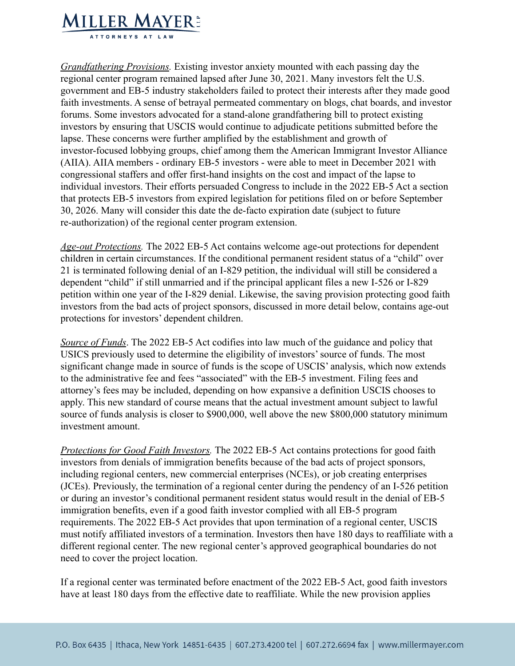

*Grandfathering Provisions.* Existing investor anxiety mounted with each passing day the regional center program remained lapsed after June 30, 2021. Many investors felt the U.S. government and EB-5 industry stakeholders failed to protect their interests after they made good faith investments. A sense of betrayal permeated commentary on blogs, chat boards, and investor forums. Some investors advocated for a stand-alone grandfathering bill to protect existing investors by ensuring that USCIS would continue to adjudicate petitions submitted before the lapse. These concerns were further amplified by the establishment and growth of investor-focused lobbying groups, chief among them the American Immigrant Investor Alliance (AIIA). AIIA members - ordinary EB-5 investors - were able to meet in December 2021 with congressional staffers and offer first-hand insights on the cost and impact of the lapse to individual investors. Their efforts persuaded Congress to include in the 2022 EB-5 Act a section that protects EB-5 investors from expired legislation for petitions filed on or before September 30, 2026. Many will consider this date the de-facto expiration date (subject to future re-authorization) of the regional center program extension.

*Age-out Protections.* The 2022 EB-5 Act contains welcome age-out protections for dependent children in certain circumstances. If the conditional permanent resident status of a "child" over 21 is terminated following denial of an I-829 petition, the individual will still be considered a dependent "child" if still unmarried and if the principal applicant files a new I-526 or I-829 petition within one year of the I-829 denial. Likewise, the saving provision protecting good faith investors from the bad acts of project sponsors, discussed in more detail below, contains age-out protections for investors' dependent children.

*Source of Funds*. The 2022 EB-5 Act codifies into law much of the guidance and policy that USICS previously used to determine the eligibility of investors' source of funds. The most significant change made in source of funds is the scope of USCIS' analysis, which now extends to the administrative fee and fees "associated" with the EB-5 investment. Filing fees and attorney's fees may be included, depending on how expansive a definition USCIS chooses to apply. This new standard of course means that the actual investment amount subject to lawful source of funds analysis is closer to \$900,000, well above the new \$800,000 statutory minimum investment amount.

*Protections for Good Faith Investors.* The 2022 EB-5 Act contains protections for good faith investors from denials of immigration benefits because of the bad acts of project sponsors, including regional centers, new commercial enterprises (NCEs), or job creating enterprises (JCEs). Previously, the termination of a regional center during the pendency of an I-526 petition or during an investor's conditional permanent resident status would result in the denial of EB-5 immigration benefits, even if a good faith investor complied with all EB-5 program requirements. The 2022 EB-5 Act provides that upon termination of a regional center, USCIS must notify affiliated investors of a termination. Investors then have 180 days to reaffiliate with a different regional center. The new regional center's approved geographical boundaries do not need to cover the project location.

If a regional center was terminated before enactment of the 2022 EB-5 Act, good faith investors have at least 180 days from the effective date to reaffiliate. While the new provision applies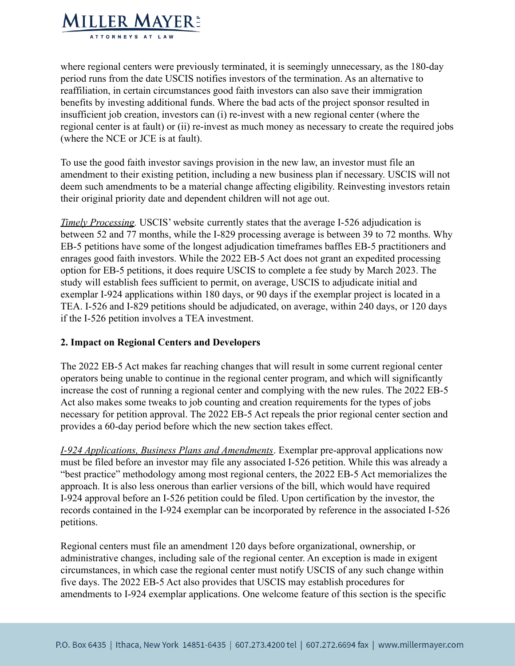

where regional centers were previously terminated, it is seemingly unnecessary, as the 180-day period runs from the date USCIS notifies investors of the termination. As an alternative to reaffiliation, in certain circumstances good faith investors can also save their immigration benefits by investing additional funds. Where the bad acts of the project sponsor resulted in insufficient job creation, investors can (i) re-invest with a new regional center (where the regional center is at fault) or (ii) re-invest as much money as necessary to create the required jobs (where the NCE or JCE is at fault).

To use the good faith investor savings provision in the new law, an investor must file an amendment to their existing petition, including a new business plan if necessary. USCIS will not deem such amendments to be a material change affecting eligibility. Reinvesting investors retain their original priority date and dependent children will not age out.

*Timely Processing.* USCIS' website currently states that the average I-526 adjudication is between 52 and 77 months, while the I-829 processing average is between 39 to 72 months. Why EB-5 petitions have some of the longest adjudication timeframes baffles EB-5 practitioners and enrages good faith investors. While the 2022 EB-5 Act does not grant an expedited processing option for EB-5 petitions, it does require USCIS to complete a fee study by March 2023. The study will establish fees sufficient to permit, on average, USCIS to adjudicate initial and exemplar I-924 applications within 180 days, or 90 days if the exemplar project is located in a TEA. I-526 and I-829 petitions should be adjudicated, on average, within 240 days, or 120 days if the I-526 petition involves a TEA investment.

#### **2. Impact on Regional Centers and Developers**

The 2022 EB-5 Act makes far reaching changes that will result in some current regional center operators being unable to continue in the regional center program, and which will significantly increase the cost of running a regional center and complying with the new rules. The 2022 EB-5 Act also makes some tweaks to job counting and creation requirements for the types of jobs necessary for petition approval. The 2022 EB-5 Act repeals the prior regional center section and provides a 60-day period before which the new section takes effect.

*I-924 Applications, Business Plans and Amendments*. Exemplar pre-approval applications now must be filed before an investor may file any associated I-526 petition. While this was already a "best practice" methodology among most regional centers, the 2022 EB-5 Act memorializes the approach. It is also less onerous than earlier versions of the bill, which would have required I-924 approval before an I-526 petition could be filed. Upon certification by the investor, the records contained in the I-924 exemplar can be incorporated by reference in the associated I-526 petitions.

Regional centers must file an amendment 120 days before organizational, ownership, or administrative changes, including sale of the regional center. An exception is made in exigent circumstances, in which case the regional center must notify USCIS of any such change within five days. The 2022 EB-5 Act also provides that USCIS may establish procedures for amendments to I-924 exemplar applications. One welcome feature of this section is the specific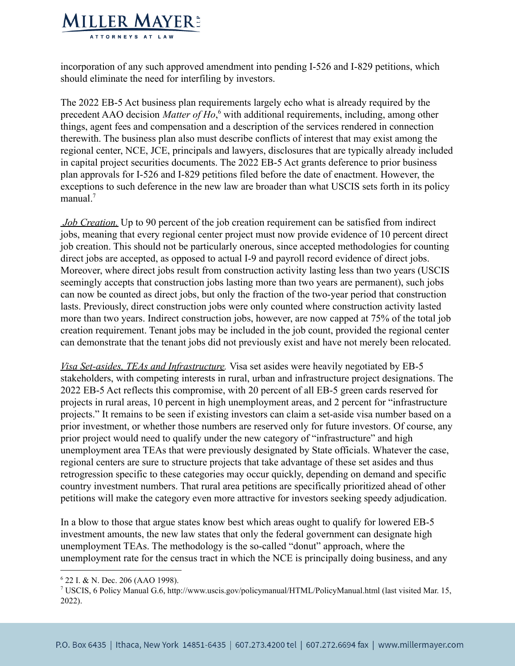

incorporation of any such approved amendment into pending I-526 and I-829 petitions, which should eliminate the need for interfiling by investors.

The 2022 EB-5 Act business plan requirements largely echo what is already required by the precedent AAO decision *Matter of Ho*,<sup>6</sup> with additional requirements, including, among other things, agent fees and compensation and a description of the services rendered in connection therewith. The business plan also must describe conflicts of interest that may exist among the regional center, NCE, JCE, principals and lawyers, disclosures that are typically already included in capital project securities documents. The 2022 EB-5 Act grants deference to prior business plan approvals for I-526 and I-829 petitions filed before the date of enactment. However, the exceptions to such deference in the new law are broader than what USCIS sets forth in its policy manual.<sup>7</sup>

*Job Creation.* Up to 90 percent of the job creation requirement can be satisfied from indirect jobs, meaning that every regional center project must now provide evidence of 10 percent direct job creation. This should not be particularly onerous, since accepted methodologies for counting direct jobs are accepted, as opposed to actual I-9 and payroll record evidence of direct jobs. Moreover, where direct jobs result from construction activity lasting less than two years (USCIS seemingly accepts that construction jobs lasting more than two years are permanent), such jobs can now be counted as direct jobs, but only the fraction of the two-year period that construction lasts. Previously, direct construction jobs were only counted where construction activity lasted more than two years. Indirect construction jobs, however, are now capped at 75% of the total job creation requirement. Tenant jobs may be included in the job count, provided the regional center can demonstrate that the tenant jobs did not previously exist and have not merely been relocated.

*Visa Set-asides, TEAs and Infrastructure.* Visa set asides were heavily negotiated by EB-5 stakeholders, with competing interests in rural, urban and infrastructure project designations. The 2022 EB-5 Act reflects this compromise, with 20 percent of all EB-5 green cards reserved for projects in rural areas, 10 percent in high unemployment areas, and 2 percent for "infrastructure projects." It remains to be seen if existing investors can claim a set-aside visa number based on a prior investment, or whether those numbers are reserved only for future investors. Of course, any prior project would need to qualify under the new category of "infrastructure" and high unemployment area TEAs that were previously designated by State officials. Whatever the case, regional centers are sure to structure projects that take advantage of these set asides and thus retrogression specific to these categories may occur quickly, depending on demand and specific country investment numbers. That rural area petitions are specifically prioritized ahead of other petitions will make the category even more attractive for investors seeking speedy adjudication.

In a blow to those that argue states know best which areas ought to qualify for lowered EB-5 investment amounts, the new law states that only the federal government can designate high unemployment TEAs. The methodology is the so-called "donut" approach, where the unemployment rate for the census tract in which the NCE is principally doing business, and any

 $6$  22 I. & N. Dec. 206 (AAO 1998).

<sup>7</sup> USCIS, 6 Policy Manual G.6, http://www.uscis.gov/policymanual/HTML/PolicyManual.html (last visited Mar. 15, 2022).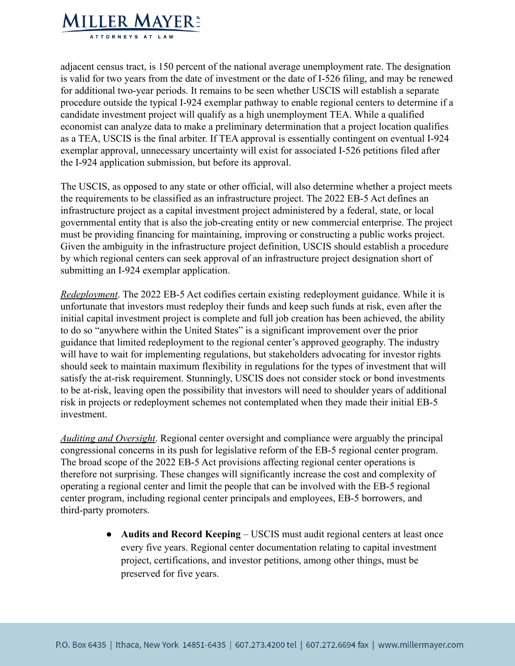

adjacent census tract, is 150 percent of the national average unemployment rate. The designation is valid for two years from the date of investment or the date of I-526 filing, and may be renewed for additional two-year periods. It remains to be seen whether USCIS will establish a separate procedure outside the typical I-924 exemplar pathway to enable regional centers to determine if a candidate investment project will qualify as a high unemployment TEA. While a qualified economist can analyze data to make a preliminary determination that a project location qualifies as a TEA, USCIS is the final arbiter. If TEA approval is essentially contingent on eventual I-924 exemplar approval, unnecessary uncertainty will exist for associated I-526 petitions filed after the I-924 application submission, but before its approval.

The USCIS, as opposed to any state or other official, will also determine whether a project meets the requirements to be classified as an infrastructure project. The 2022 EB-5 Act defines an infrastructure project as a capital investment project administered by a federal, state, or local governmental entity that is also the job-creating entity or new commercial enterprise. The project must be providing financing for maintaining, improving or constructing a public works project. Given the ambiguity in the infrastructure project definition, USCIS should establish a procedure by which regional centers can seek approval of an infrastructure project designation short of submitting an I-924 exemplar application.

*Redeployment*. The 2022 EB-5 Act codifies certain existing redeployment guidance. While it is unfortunate that investors must redeploy their funds and keep such funds at risk, even after the initial capital investment project is complete and full job creation has been achieved, the ability to do so "anywhere within the United States" is a significant improvement over the prior guidance that limited redeployment to the regional center's approved geography. The industry will have to wait for implementing regulations, but stakeholders advocating for investor rights should seek to maintain maximum flexibility in regulations for the types of investment that will satisfy the at-risk requirement. Stunningly, USCIS does not consider stock or bond investments to be at-risk, leaving open the possibility that investors will need to shoulder years of additional risk in projects or redeployment schemes not contemplated when they made their initial EB-5 investment.

*Auditing and Oversight*. Regional center oversight and compliance were arguably the principal congressional concerns in its push for legislative reform of the EB-5 regional center program. The broad scope of the 2022 EB-5 Act provisions affecting regional center operations is therefore not surprising. These changes will significantly increase the cost and complexity of operating a regional center and limit the people that can be involved with the EB-5 regional center program, including regional center principals and employees, EB-5 borrowers, and third-party promoters.

> ● **Audits and Record Keeping** – USCIS must audit regional centers at least once every five years. Regional center documentation relating to capital investment project, certifications, and investor petitions, among other things, must be preserved for five years.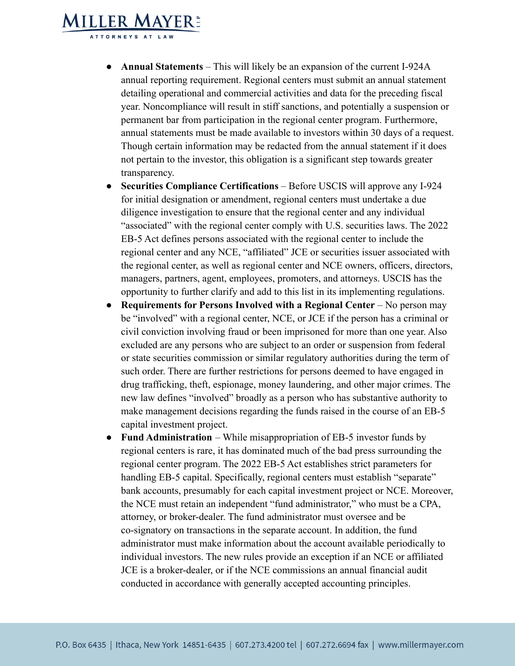## **MILLER MAYER:** TTORNEYS AT LAW

- **Annual Statements** This will likely be an expansion of the current I-924A annual reporting requirement. Regional centers must submit an annual statement detailing operational and commercial activities and data for the preceding fiscal year. Noncompliance will result in stiff sanctions, and potentially a suspension or permanent bar from participation in the regional center program. Furthermore, annual statements must be made available to investors within 30 days of a request. Though certain information may be redacted from the annual statement if it does not pertain to the investor, this obligation is a significant step towards greater transparency.
- **Securities Compliance Certifications** Before USCIS will approve any I-924 for initial designation or amendment, regional centers must undertake a due diligence investigation to ensure that the regional center and any individual "associated" with the regional center comply with U.S. securities laws. The 2022 EB-5 Act defines persons associated with the regional center to include the regional center and any NCE, "affiliated" JCE or securities issuer associated with the regional center, as well as regional center and NCE owners, officers, directors, managers, partners, agent, employees, promoters, and attorneys. USCIS has the opportunity to further clarify and add to this list in its implementing regulations.
- **Requirements for Persons Involved with a Regional Center** No person may be "involved" with a regional center, NCE, or JCE if the person has a criminal or civil conviction involving fraud or been imprisoned for more than one year. Also excluded are any persons who are subject to an order or suspension from federal or state securities commission or similar regulatory authorities during the term of such order. There are further restrictions for persons deemed to have engaged in drug trafficking, theft, espionage, money laundering, and other major crimes. The new law defines "involved" broadly as a person who has substantive authority to make management decisions regarding the funds raised in the course of an EB-5 capital investment project.
- **Fund Administration** While misappropriation of EB-5 investor funds by regional centers is rare, it has dominated much of the bad press surrounding the regional center program. The 2022 EB-5 Act establishes strict parameters for handling EB-5 capital. Specifically, regional centers must establish "separate" bank accounts, presumably for each capital investment project or NCE. Moreover, the NCE must retain an independent "fund administrator," who must be a CPA, attorney, or broker-dealer. The fund administrator must oversee and be co-signatory on transactions in the separate account. In addition, the fund administrator must make information about the account available periodically to individual investors. The new rules provide an exception if an NCE or affiliated JCE is a broker-dealer, or if the NCE commissions an annual financial audit conducted in accordance with generally accepted accounting principles.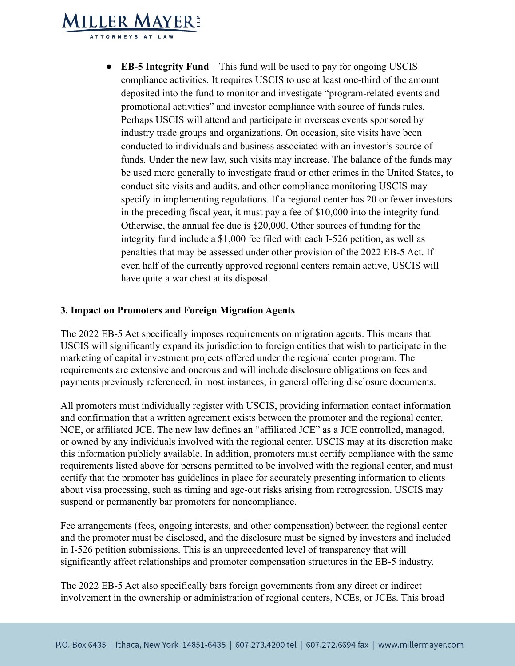# **MILLER MAYER:** TTORNEYS AT LAV

● **EB**-**5 Integrity Fund** – This fund will be used to pay for ongoing USCIS compliance activities. It requires USCIS to use at least one-third of the amount deposited into the fund to monitor and investigate "program-related events and promotional activities" and investor compliance with source of funds rules. Perhaps USCIS will attend and participate in overseas events sponsored by industry trade groups and organizations. On occasion, site visits have been conducted to individuals and business associated with an investor's source of funds. Under the new law, such visits may increase. The balance of the funds may be used more generally to investigate fraud or other crimes in the United States, to conduct site visits and audits, and other compliance monitoring USCIS may specify in implementing regulations. If a regional center has 20 or fewer investors in the preceding fiscal year, it must pay a fee of \$10,000 into the integrity fund. Otherwise, the annual fee due is \$20,000. Other sources of funding for the integrity fund include a \$1,000 fee filed with each I-526 petition, as well as penalties that may be assessed under other provision of the 2022 EB-5 Act. If even half of the currently approved regional centers remain active, USCIS will have quite a war chest at its disposal.

## **3. Impact on Promoters and Foreign Migration Agents**

The 2022 EB-5 Act specifically imposes requirements on migration agents. This means that USCIS will significantly expand its jurisdiction to foreign entities that wish to participate in the marketing of capital investment projects offered under the regional center program. The requirements are extensive and onerous and will include disclosure obligations on fees and payments previously referenced, in most instances, in general offering disclosure documents.

All promoters must individually register with USCIS, providing information contact information and confirmation that a written agreement exists between the promoter and the regional center, NCE, or affiliated JCE. The new law defines an "affiliated JCE" as a JCE controlled, managed, or owned by any individuals involved with the regional center. USCIS may at its discretion make this information publicly available. In addition, promoters must certify compliance with the same requirements listed above for persons permitted to be involved with the regional center, and must certify that the promoter has guidelines in place for accurately presenting information to clients about visa processing, such as timing and age-out risks arising from retrogression. USCIS may suspend or permanently bar promoters for noncompliance.

Fee arrangements (fees, ongoing interests, and other compensation) between the regional center and the promoter must be disclosed, and the disclosure must be signed by investors and included in I-526 petition submissions. This is an unprecedented level of transparency that will significantly affect relationships and promoter compensation structures in the EB-5 industry.

The 2022 EB-5 Act also specifically bars foreign governments from any direct or indirect involvement in the ownership or administration of regional centers, NCEs, or JCEs. This broad